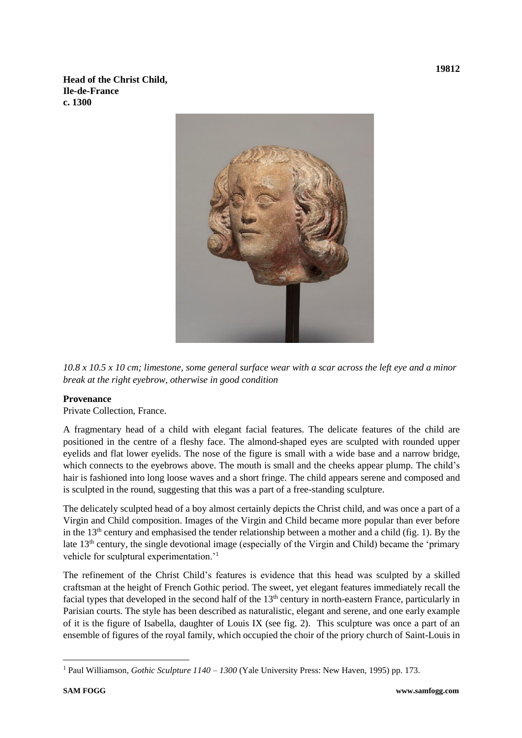**Head of the Christ Child, Ile-de-France c. 1300**



*10.8 x 10.5 x 10 cm; limestone, some general surface wear with a scar across the left eye and a minor break at the right eyebrow, otherwise in good condition*

## **Provenance**

Private Collection, France.

A fragmentary head of a child with elegant facial features. The delicate features of the child are positioned in the centre of a fleshy face. The almond-shaped eyes are sculpted with rounded upper eyelids and flat lower eyelids. The nose of the figure is small with a wide base and a narrow bridge, which connects to the eyebrows above. The mouth is small and the cheeks appear plump. The child's hair is fashioned into long loose waves and a short fringe. The child appears serene and composed and is sculpted in the round, suggesting that this was a part of a free-standing sculpture.

The delicately sculpted head of a boy almost certainly depicts the Christ child, and was once a part of a Virgin and Child composition. Images of the Virgin and Child became more popular than ever before in the 13<sup>th</sup> century and emphasised the tender relationship between a mother and a child (fig. 1). By the late 13th century, the single devotional image (especially of the Virgin and Child) became the 'primary vehicle for sculptural experimentation.'<sup>1</sup>

The refinement of the Christ Child's features is evidence that this head was sculpted by a skilled craftsman at the height of French Gothic period. The sweet, yet elegant features immediately recall the facial types that developed in the second half of the  $13<sup>th</sup>$  century in north-eastern France, particularly in Parisian courts. The style has been described as naturalistic, elegant and serene, and one early example of it is the figure of Isabella, daughter of Louis IX (see fig. 2). This sculpture was once a part of an ensemble of figures of the royal family, which occupied the choir of the priory church of Saint-Louis in

<sup>1</sup> Paul Williamson, *Gothic Sculpture 1140 – 1300* (Yale University Press: New Haven, 1995) pp. 173.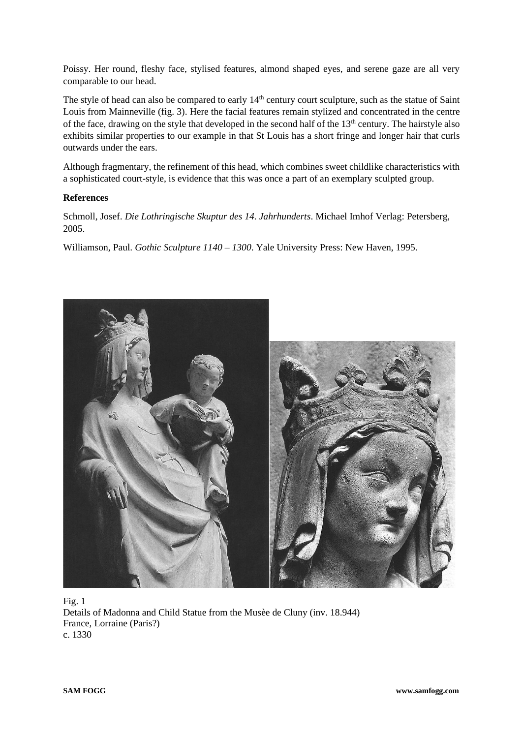Poissy. Her round, fleshy face, stylised features, almond shaped eyes, and serene gaze are all very comparable to our head.

The style of head can also be compared to early  $14<sup>th</sup>$  century court sculpture, such as the statue of Saint Louis from Mainneville (fig. 3). Here the facial features remain stylized and concentrated in the centre of the face, drawing on the style that developed in the second half of the  $13<sup>th</sup>$  century. The hairstyle also exhibits similar properties to our example in that St Louis has a short fringe and longer hair that curls outwards under the ears.

Although fragmentary, the refinement of this head, which combines sweet childlike characteristics with a sophisticated court-style, is evidence that this was once a part of an exemplary sculpted group.

## **References**

Schmoll, Josef. *Die Lothringische Skuptur des 14. Jahrhunderts*. Michael Imhof Verlag: Petersberg, 2005.

Williamson, Paul. *Gothic Sculpture 1140 – 1300*. Yale University Press: New Haven, 1995.



Fig. 1 Details of Madonna and Child Statue from the Musèe de Cluny (inv. 18.944) France, Lorraine (Paris?) c. 1330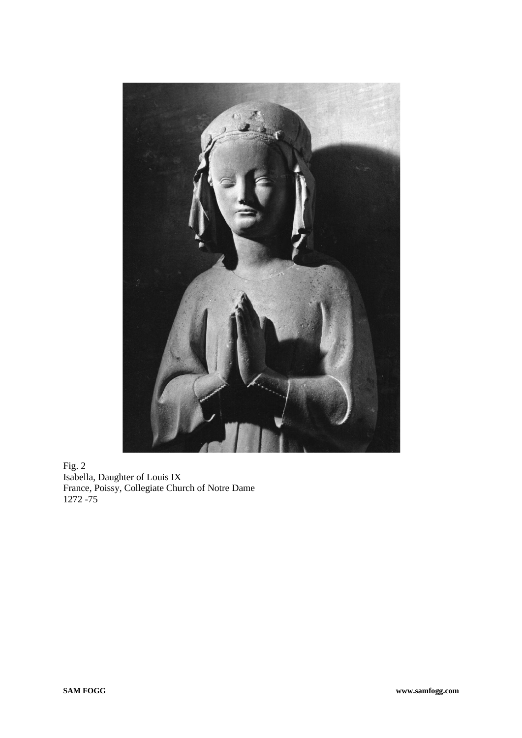

Fig. 2 Isabella, Daughter of Louis IX France, Poissy, Collegiate Church of Notre Dame 1272 -75